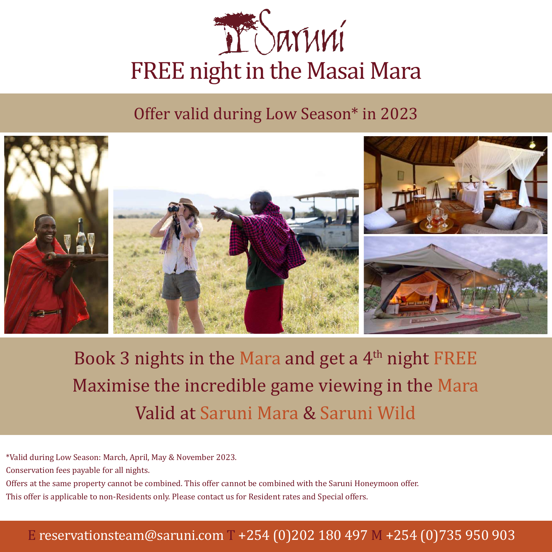

Offer valid during Low Season\* in 2023



Book 3 nights in the Mara and get a  $4<sup>th</sup>$  night FREE Maximise the incredible game viewing in the Mara Valid at Saruni Mara & Saruni Wild

\*Valid during Low Season: March, April, May & November 2023.

Conservation fees payable for all nights.

Offers at the same property cannot be combined. This offer cannot be combined with the Saruni Honeymoon offer.

This offer is applicable to non-Residents only. Please contact us for Resident rates and Special offers.

#### E reservationsteam@saruni.com T +254 (0)202 180 497 M +254 (0)735 950 903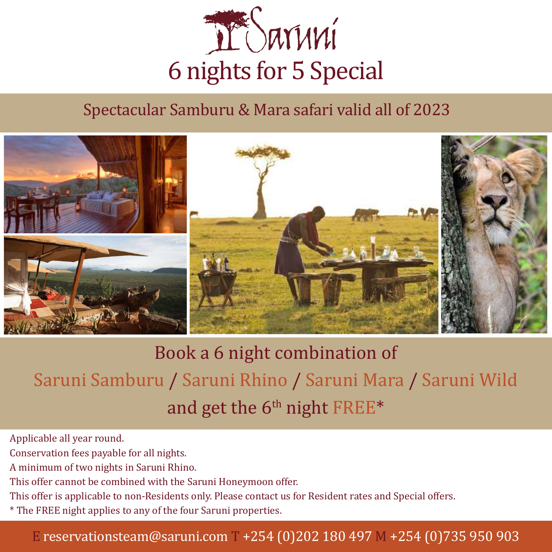

### Spectacular Samburu & Mara safari valid all of 2023



# Book a 6 night combination of Saruni Samburu / Saruni Rhino / Saruni Mara / Saruni Wild and get the  $6<sup>th</sup>$  night FREE\*

Applicable all year round.

Conservation fees payable for all nights.

A minimum of two nights in Saruni Rhino.

This offer cannot be combined with the Saruni Honeymoon offer.

This offer is applicable to non-Residents only. Please contact us for Resident rates and Special offers.

\* The FREE night applies to any of the four Saruni properties.

#### E reservationsteam@saruni.com T +254 (0)202 180 497 M +254 (0)735 950 903